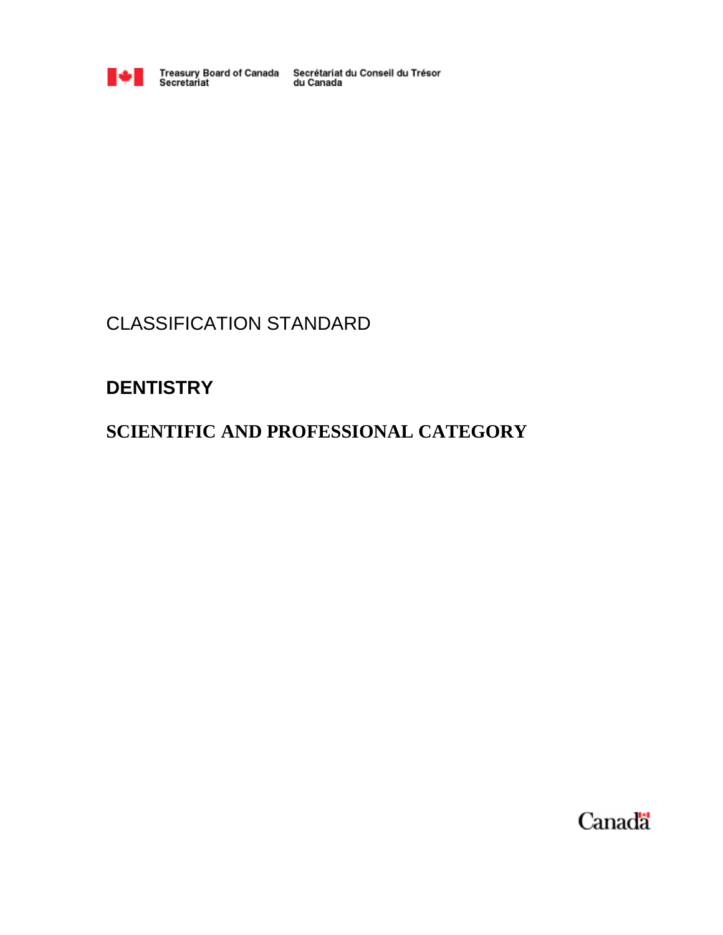

Treasury Board of Canada Secrétariat du Conseil du Trésor<br>Secretariat du Canada

# CLASSIFICATION STANDARD

# **DENTISTRY**

# **SCIENTIFIC AND PROFESSIONAL CATEGORY**

Canada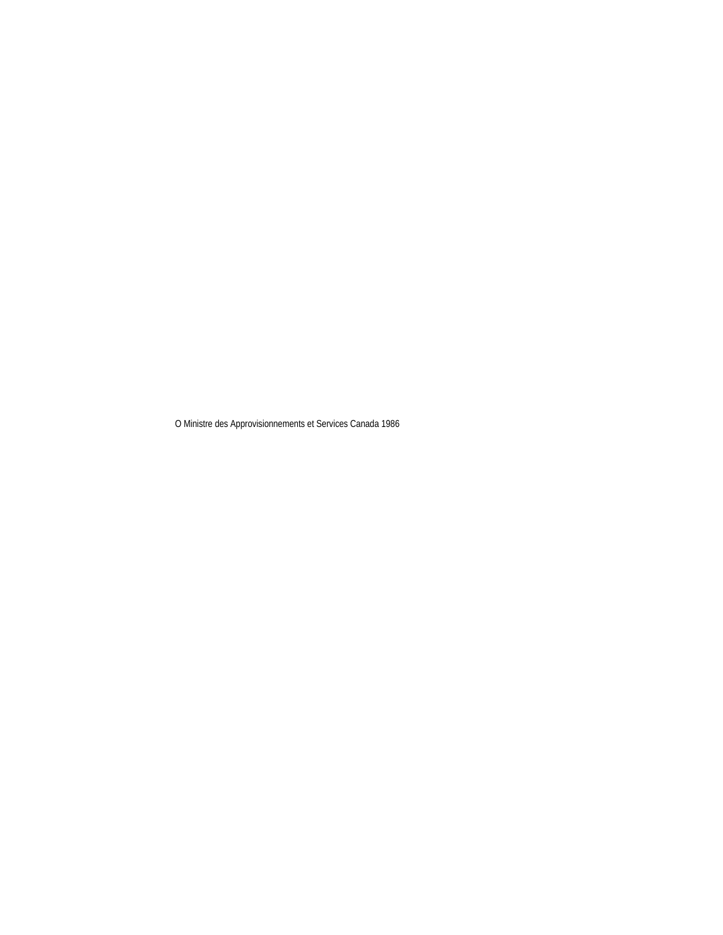O Ministre des Approvisionnements et Services Canada 1986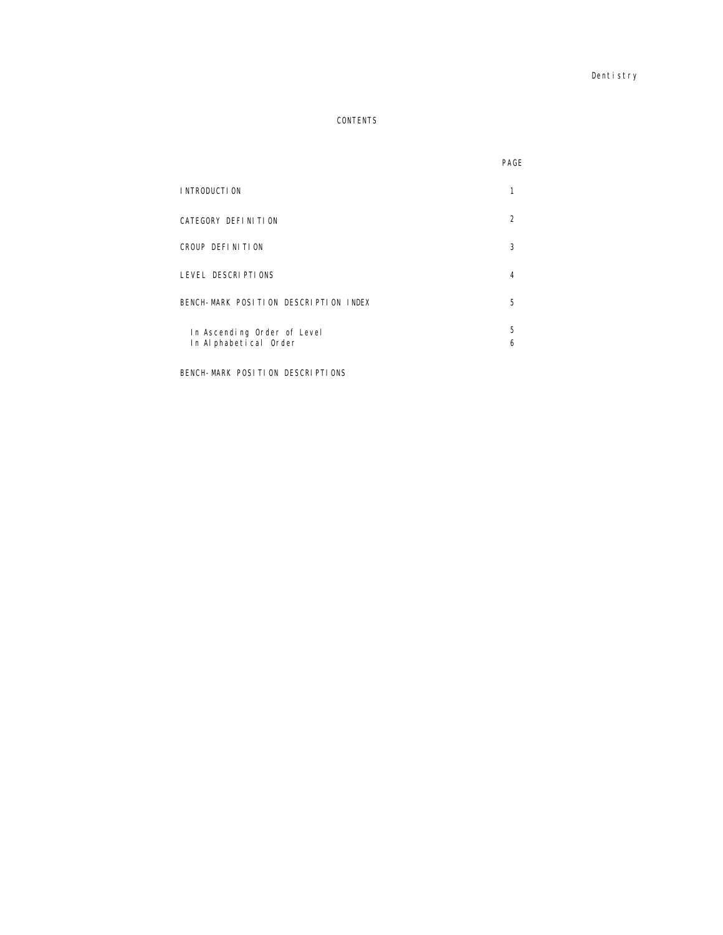Dentistry

# CONTENTS

|                                                       | PAGE          |
|-------------------------------------------------------|---------------|
| I NTRODUCTI ON                                        |               |
| CATEGORY DEFINITION                                   | $\mathcal{P}$ |
| CROUP DEFINITION                                      | 3             |
| LEVEL DESCRIPTIONS                                    | 4             |
| BENCH-MARK POSITION DESCRIPTION INDEX                 | 5             |
| In Ascending Order of Level<br>In Al phabetical Order | 5<br>6        |

BENCH-MARK POSITION DESCRIPTIONS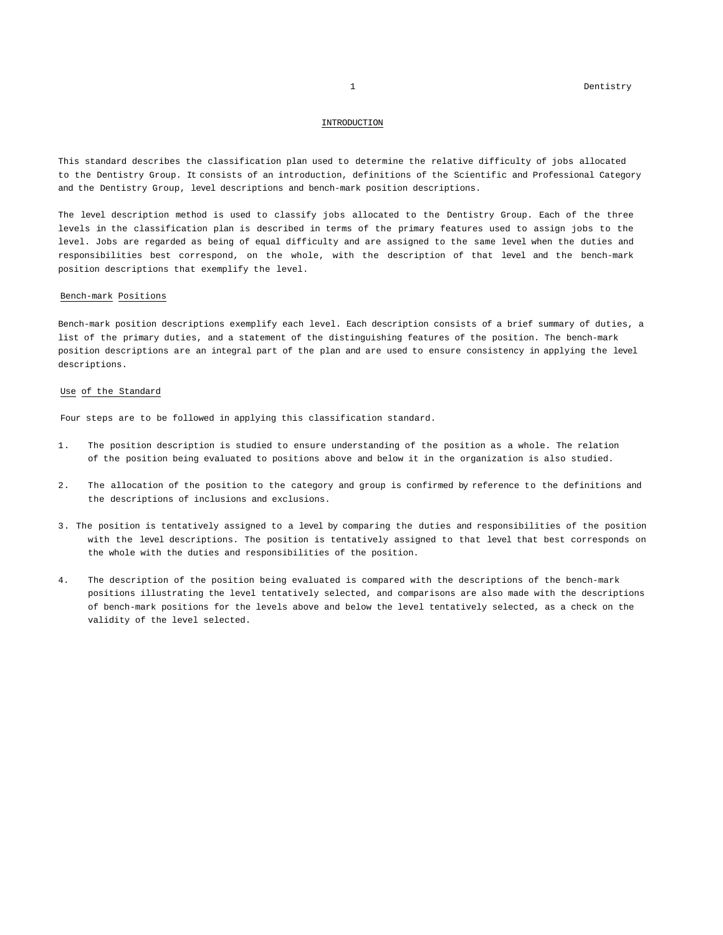### INTRODUCTION

This standard describes the classification plan used to determine the relative difficulty of jobs allocated to the Dentistry Group. It consists of an introduction, definitions of the Scientific and Professional Category and the Dentistry Group, level descriptions and bench-mark position descriptions.

The level description method is used to classify jobs allocated to the Dentistry Group. Each of the three levels in the classification plan is described in terms of the primary features used to assign jobs to the level. Jobs are regarded as being of equal difficulty and are assigned to the same level when the duties and responsibilities best correspond, on the whole, with the description of that level and the bench-mark position descriptions that exemplify the level.

### Bench-mark Positions

Bench-mark position descriptions exemplify each level. Each description consists of a brief summary of duties, a list of the primary duties, and a statement of the distinguishing features of the position. The bench-mark position descriptions are an integral part of the plan and are used to ensure consistency in applying the level descriptions.

### Use of the Standard

Four steps are to be followed in applying this classification standard.

- 1. The position description is studied to ensure understanding of the position as a whole. The relation of the position being evaluated to positions above and below it in the organization is also studied.
- 2. The allocation of the position to the category and group is confirmed by reference to the definitions and the descriptions of inclusions and exclusions.
- 3. The position is tentatively assigned to a level by comparing the duties and responsibilities of the position with the level descriptions. The position is tentatively assigned to that level that best corresponds on the whole with the duties and responsibilities of the position.
- 4. The description of the position being evaluated is compared with the descriptions of the bench-mark positions illustrating the level tentatively selected, and comparisons are also made with the descriptions of bench-mark positions for the levels above and below the level tentatively selected, as a check on the validity of the level selected.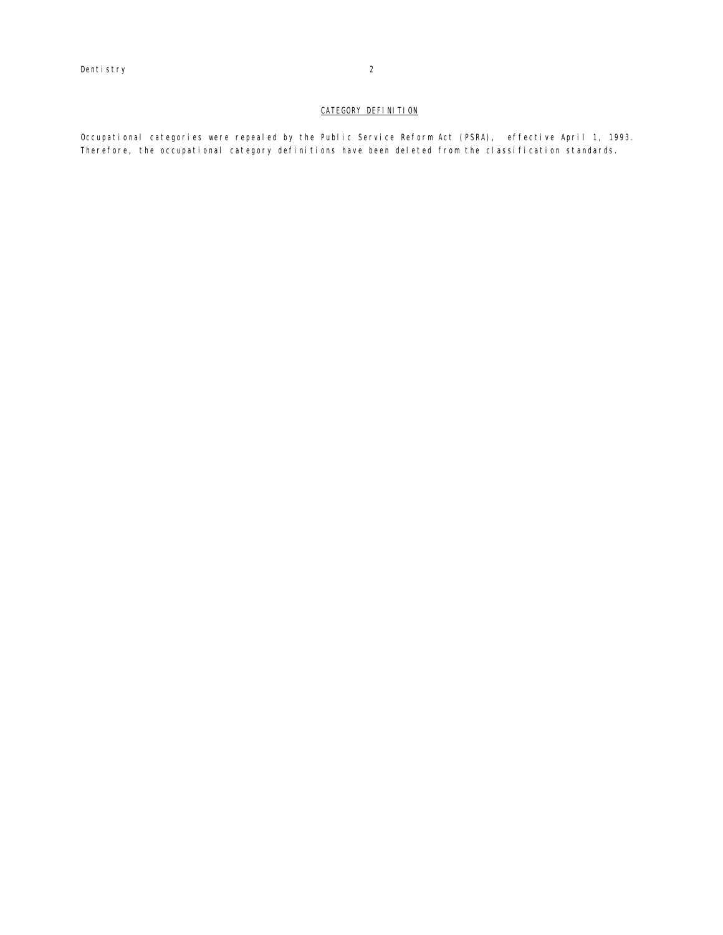# CATEGORY DEFINITION

Occupational categories were repealed by the Public Service Reform Act (PSRA), effective April 1, 1993. Therefore, the occupational category definitions have been deleted from the classification standards.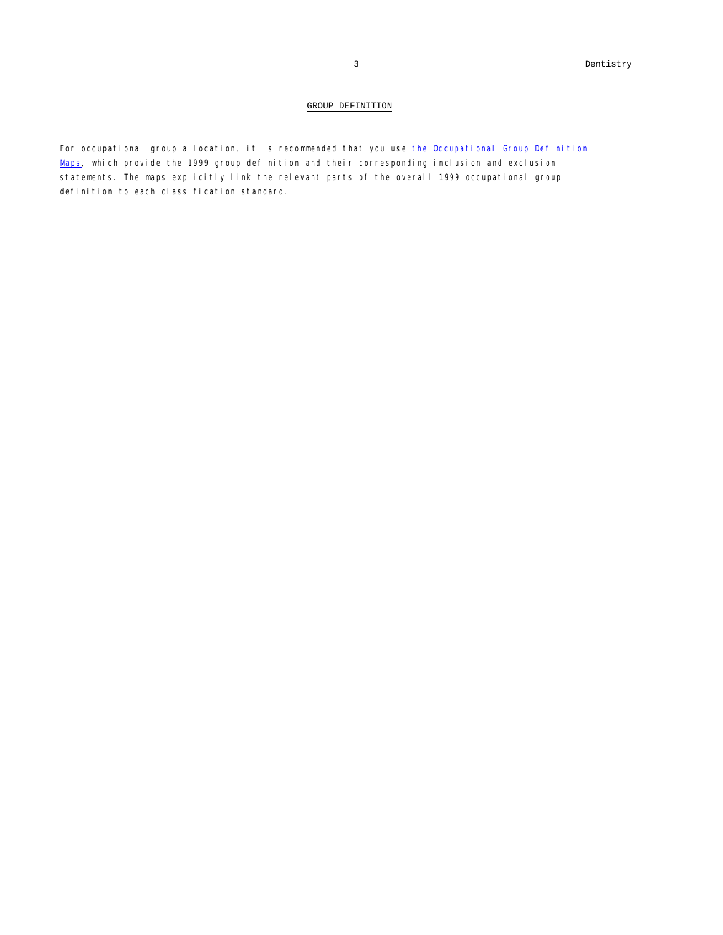## GROUP DEFINITION

For occupational group allocation, it is recommended that you use the Occupational Group Definition Maps, which provide the 1999 group definition and their corresponding inclusion and exclusion statements. The maps explicitly link the relevant parts of the overall 1999 occupational group definition to each classification standard.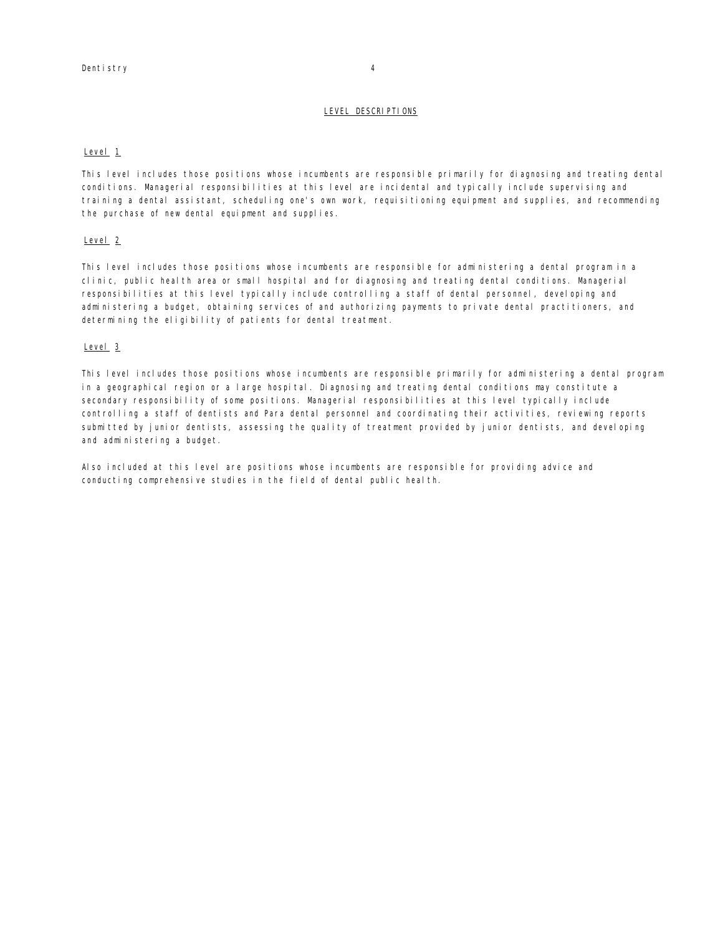## LEVEL DESCRIPTIONS

### Level<sub>1</sub>

This level includes those positions whose incumbents are responsible primarily for diagnosing and treating dental conditions. Managerial responsibilities at this level are incidental and typically include supervising and training a dental assistant, scheduling one's own work, requisitioning equipment and supplies, and recommending the purchase of new dental equipment and supplies.

# Level<sub>2</sub>

This level includes those positions whose incumbents are responsible for administering a dental program in a clinic, public health area or small hospital and for diagnosing and treating dental conditions. Managerial responsibilities at this level typically include controlling a staff of dental personnel, developing and administering a budget, obtaining services of and authorizing payments to private dental practitioners, and determining the eligibility of patients for dental treatment.

### Level<sub>3</sub>

This level includes those positions whose incumbents are responsible primarily for administering a dental program in a geographical region or a large hospital. Diagnosing and treating dental conditions may constitute a secondary responsibility of some positions. Managerial responsibilities at this level typically include controlling a staff of dentists and Para dental personnel and coordinating their activities, reviewing reports submitted by junior dentists, assessing the quality of treatment provided by junior dentists, and developing and administering a budget.

Also included at this level are positions whose incumbents are responsible for providing advice and conducting comprehensive studies in the field of dental public health.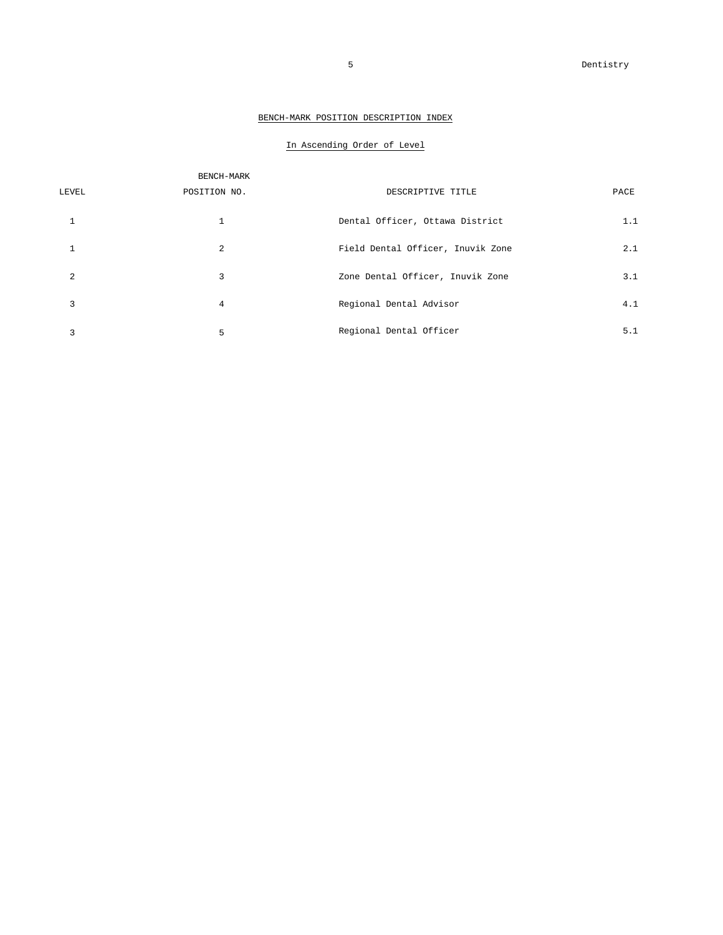# BENCH-MARK POSITION DESCRIPTION INDEX

# In Ascending Order of Level

|                | BENCH-MARK   |                                   |      |
|----------------|--------------|-----------------------------------|------|
| LEVEL          | POSITION NO. | DESCRIPTIVE TITLE                 | PACE |
|                | $\mathbf{1}$ | Dental Officer, Ottawa District   | 1.1  |
|                | 2            | Field Dental Officer, Inuvik Zone | 2.1  |
| $\mathfrak{D}$ | 3            | Zone Dental Officer, Inuvik Zone  | 3.1  |
| 3              | 4            | Regional Dental Advisor           | 4.1  |
|                | 5            | Regional Dental Officer           | 5.1  |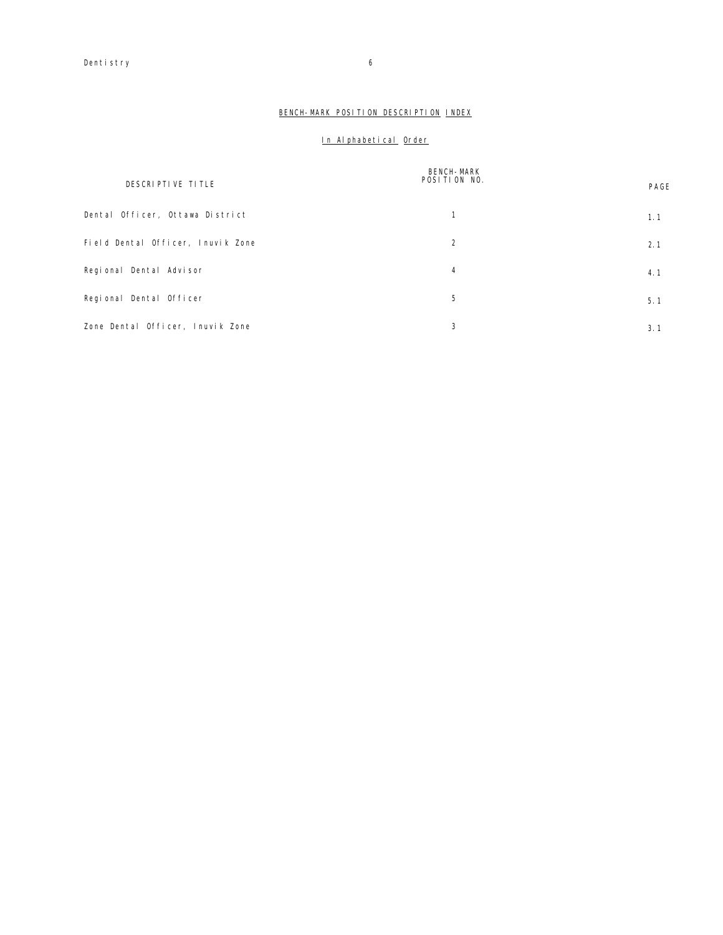# BENCH-MARK POSITION DESCRIPTION INDEX

# In Alphabetical Order

| DESCRIPTIVE TITLE                 | <b>BENCH-MARK</b><br>POSITION NO. | PAGE |
|-----------------------------------|-----------------------------------|------|
| Dental Officer, Ottawa District   | 1                                 | 1.1  |
| Field Dental Officer, Inuvik Zone | 2                                 | 2.1  |
| Regional Dental Advisor           | 4                                 | 4.1  |
| Regional Dental Officer           | 5                                 | 5.1  |
| Zone Dental Officer, Inuvik Zone  | 3                                 | 3.1  |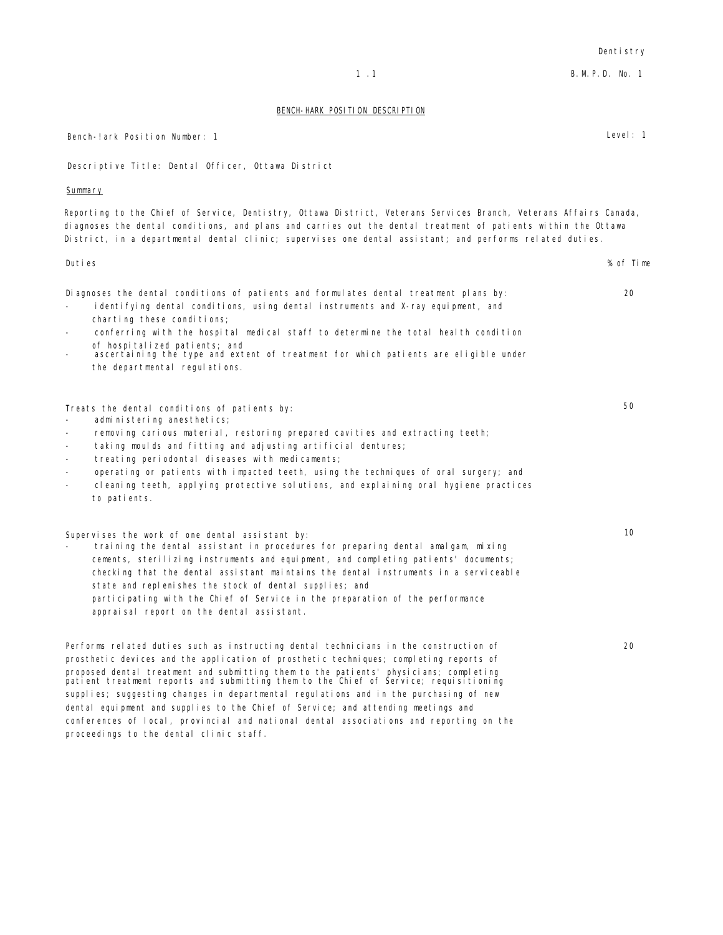Reporting to the Chief of Service, Dentistry, Ottawa District, Veterans Services Branch, Veterans Affairs Canada, Duties % of Time Diagnoses the dental conditions of patients and formulates dental treatment plans by: 20 identifying dental conditions, using dental instruments and X-ray equipment, and charting these conditions; conferring with the hospital medical staff to determine the total health condition of hospitalized patients; and ascertaining the type and extent of treatment for which patients are eligible under the departmental regulations. Treats the dental conditions of patients by: 50 administering anesthetics; - removing carious material, restoring prepared cavities and extracting teeth; taking moulds and fitting and adjusting artificial dentures; treating periodontal diseases with medicaments; operating or patients with impacted teeth, using the techniques of oral surgery; and cleaning teeth, applying protective solutions, and explaining oral hygiene practices to patients. Supervises the work of one dental assistant by: 10 - training the dental assistant in procedures for preparing dental amalgam, mixing cements, sterilizing instruments and equipment, and completing patients' documents; checking that the dental assistant maintains the dental instruments in a serviceable state and replenishes the stock of dental supplies; and participating with the Chief of Service in the preparation of the performance appraisal report on the dental assistant. Performs related duties such as instructing dental technicians in the construction of

prosthetic devices and the application of prosthetic techniques; completing reports of proposed dental treatment and submitting them to the patients' physicians; completing patient treatment reports and submitting them to the Chief of Service; requisitioning supplies; suggesting changes in departmental regulations and in the purchasing of new dental equipment and supplies to the Chief of Service; and attending meetings and conferences of local, provincial and national dental associations and reporting on the proceedings to the dental clinic staff.

### BENCH-HARK POSITION DESCRIPTION

Descriptive Title: Dental Officer, Ottawa District

# Summary

diagnoses the dental conditions, and plans and carries out the dental treatment of patients within the Ottawa District, in a departmental dental clinic; supervises one dental assistant; and performs related duties.

- 
- 
- 

- 
- 
- 
- 
- 
- 

20

1 .1 B.M.P.D. No. 1

Bench-!ark Position Number: 1 Level: 1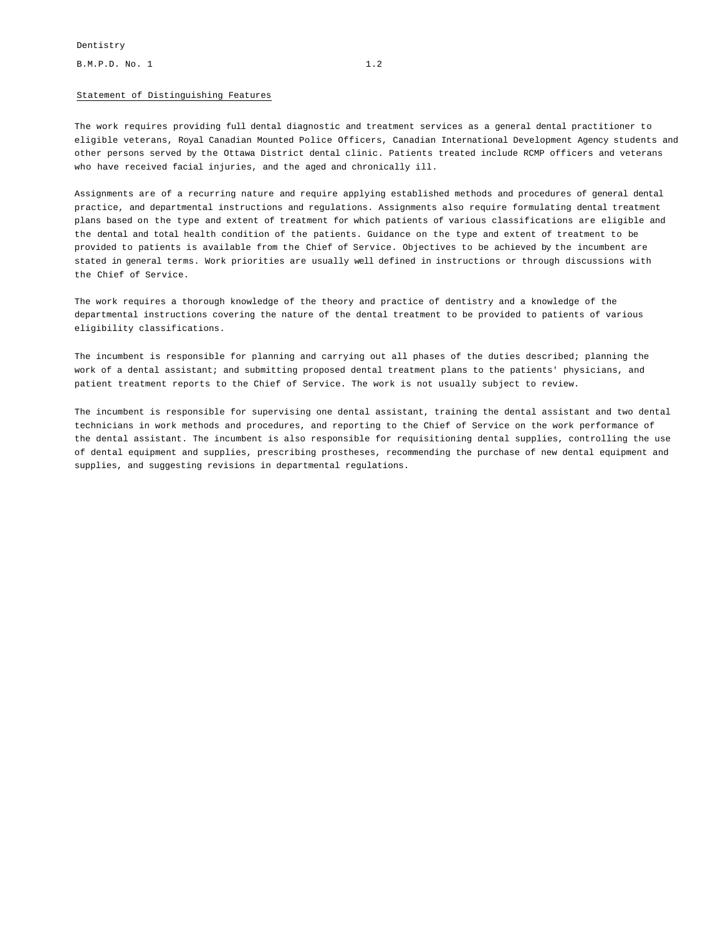### Statement of Distinguishing Features

The work requires providing full dental diagnostic and treatment services as a general dental practitioner to eligible veterans, Royal Canadian Mounted Police Officers, Canadian International Development Agency students and other persons served by the Ottawa District dental clinic. Patients treated include RCMP officers and veterans who have received facial injuries, and the aged and chronically ill.

Assignments are of a recurring nature and require applying established methods and procedures of general dental practice, and departmental instructions and regulations. Assignments also require formulating dental treatment plans based on the type and extent of treatment for which patients of various classifications are eligible and the dental and total health condition of the patients. Guidance on the type and extent of treatment to be provided to patients is available from the Chief of Service. Objectives to be achieved by the incumbent are stated in general terms. Work priorities are usually well defined in instructions or through discussions with the Chief of Service.

The work requires a thorough knowledge of the theory and practice of dentistry and a knowledge of the departmental instructions covering the nature of the dental treatment to be provided to patients of various eligibility classifications.

The incumbent is responsible for planning and carrying out all phases of the duties described; planning the work of a dental assistant; and submitting proposed dental treatment plans to the patients' physicians, and patient treatment reports to the Chief of Service. The work is not usually subject to review.

The incumbent is responsible for supervising one dental assistant, training the dental assistant and two dental technicians in work methods and procedures, and reporting to the Chief of Service on the work performance of the dental assistant. The incumbent is also responsible for requisitioning dental supplies, controlling the use of dental equipment and supplies, prescribing prostheses, recommending the purchase of new dental equipment and supplies, and suggesting revisions in departmental regulations.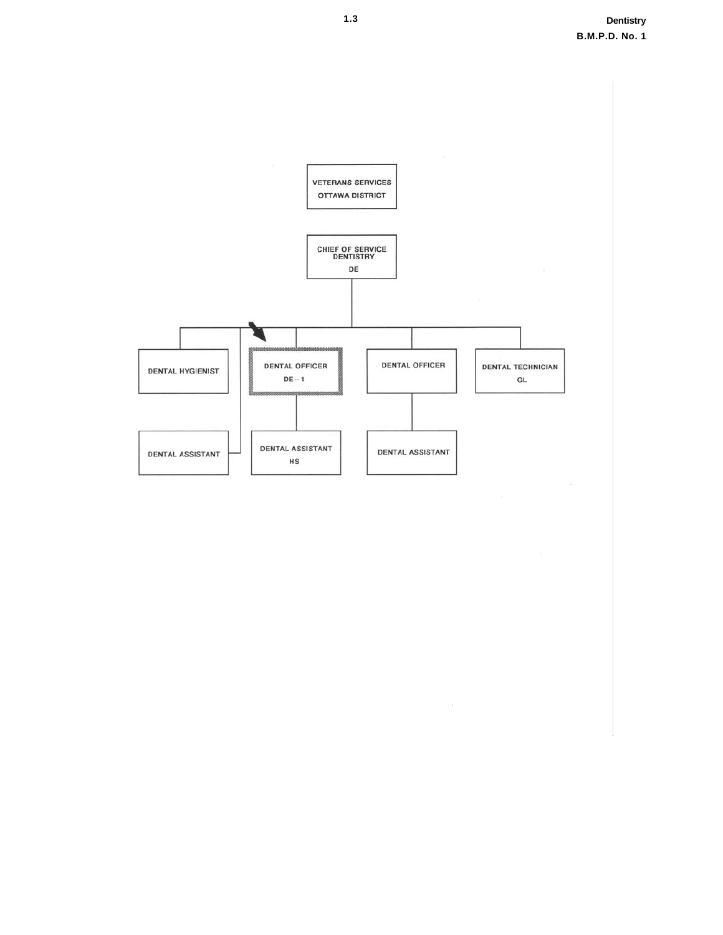

 $\mathcal{C}$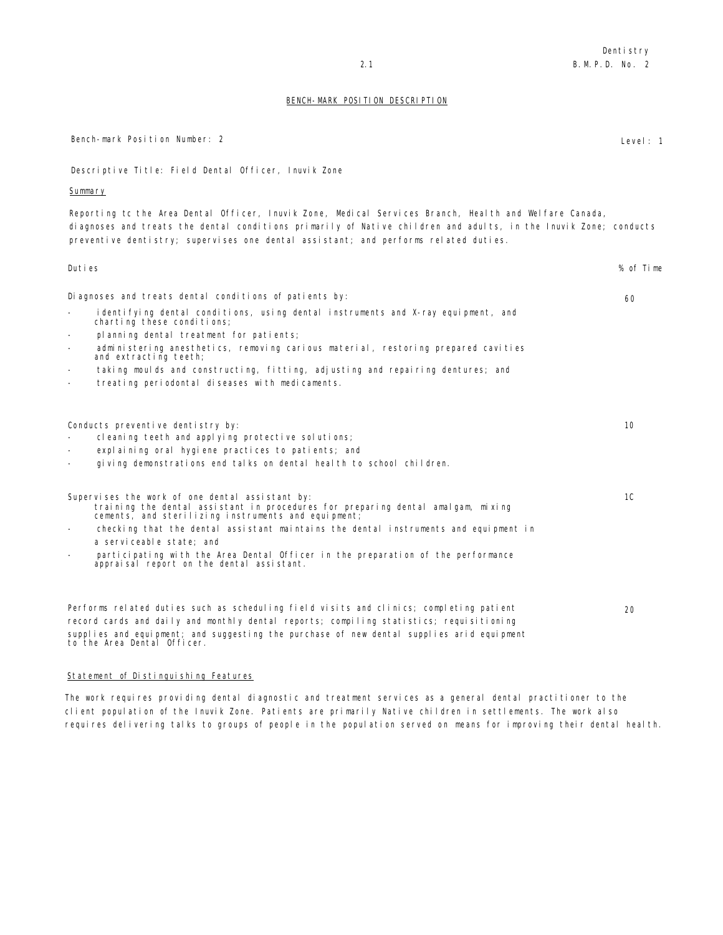## BENCH-MARK POSITION DESCRIPTION

| Descriptive Title: Field Dental Officer, Inuvik Zone                                                                                                                                                                                                                                                                                                                                                                                                   |           |
|--------------------------------------------------------------------------------------------------------------------------------------------------------------------------------------------------------------------------------------------------------------------------------------------------------------------------------------------------------------------------------------------------------------------------------------------------------|-----------|
| <u>Summary</u>                                                                                                                                                                                                                                                                                                                                                                                                                                         |           |
| Reporting tc the Area Dental Officer, Inuvik Zone, Medical Services Branch, Health and Welfare Canada,<br>diagnoses and treats the dental conditions primarily of Native children and adults, in the Inuvik Zone; conducts<br>preventive dentistry; supervises one dental assistant; and performs related duties.                                                                                                                                      |           |
| Duties                                                                                                                                                                                                                                                                                                                                                                                                                                                 | % of Time |
| Diagnoses and treats dental conditions of patients by:                                                                                                                                                                                                                                                                                                                                                                                                 | 60        |
| identifying dental conditions, using dental instruments and X-ray equipment, and<br>$\overline{\phantom{a}}$<br>charting these conditions;<br>planning dental treatment for patients;<br>Ξ.<br>administering anesthetics, removing carious material, restoring prepared cavities<br>$\overline{\phantom{0}}$<br>and extracting teeth;                                                                                                                  |           |
| taking moulds and constructing, fitting, adjusting and repairing dentures; and<br>$-$<br>treating periodontal diseases with medicaments.<br>$\overline{\phantom{a}}$                                                                                                                                                                                                                                                                                   |           |
| Conducts preventive dentistry by:<br>cleaning teeth and applying protective solutions;<br>explaining oral hygiene practices to patients; and<br>giving demonstrations end talks on dental health to school children.<br>$-$                                                                                                                                                                                                                            | 10        |
| Supervises the work of one dental assistant by:<br>training the dental assistant in procedures for preparing dental amalgam, mixing<br>cements, and sterilizing instruments and equipment;<br>checking that the dental assistant maintains the dental instruments and equipment in<br>$-$<br>a serviceable state; and<br>participating with the Area Dental Officer in the preparation of the performance<br>appraisal report on the dental assistant. | 1C        |
| Performs related duties such as scheduling field visits and clinics; completing patient<br>record cards and daily and monthly dental reports; compiling statistics; requisitioning<br>supplies and equipment; and suggesting the purchase of new dental supplies arid equipment<br>to the Area Dental Officer.                                                                                                                                         | 20        |

# Statement of Distinguishing Features

The work requires providing dental diagnostic and treatment services as a general dental practitioner to the client population of the Inuvik Zone. Patients are primarily Native children in settlements. The work also requires delivering talks to groups of people in the population served on means for improving their dental health.

Bench-mark Position Number: 2 Level: 1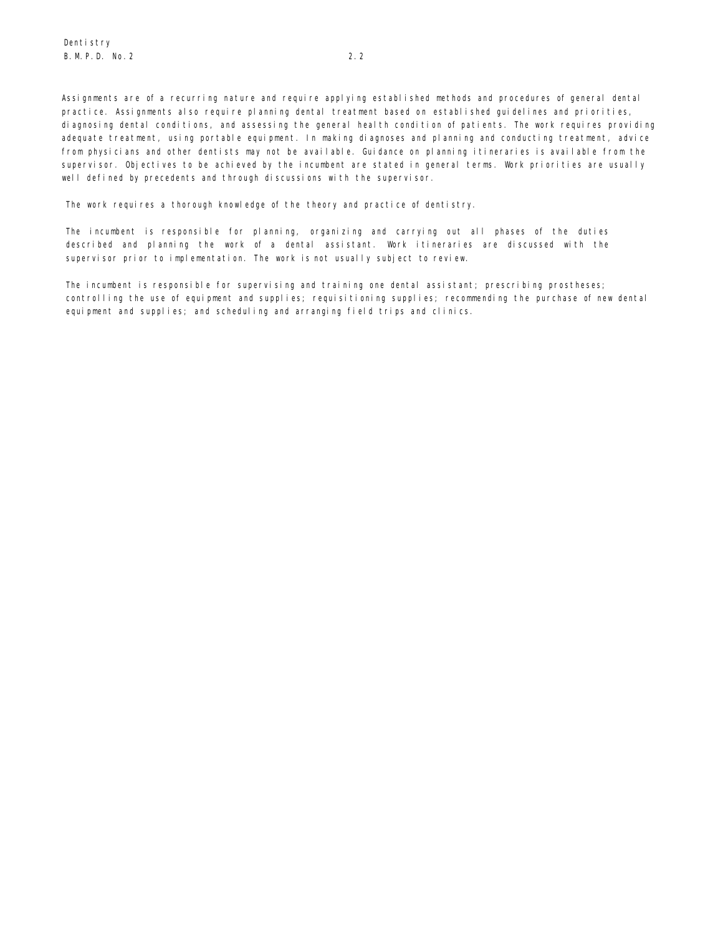Assignments are of a recurring nature and require applying established methods and procedures of general dental practice. Assignments also require planning dental treatment based on established guidelines and priorities, diagnosing dental conditions, and assessing the general health condition of patients. The work requires providing adequate treatment, using portable equipment. In making diagnoses and planning and conducting treatment, advice from physicians and other dentists may not be available. Guidance on planning itineraries is available from the supervisor. Objectives to be achieved by the incumbent are stated in general terms. Work priorities are usually well defined by precedents and through discussions with the supervisor.

The work requires a thorough knowledge of the theory and practice of dentistry.

The incumbent is responsible for planning, organizing and carrying out all phases of the duties described and planning the work of a dental assistant. Work itineraries are discussed with the supervisor prior to implementation. The work is not usually subject to review.

The incumbent is responsible for supervising and training one dental assistant; prescribing prostheses; controlling the use of equipment and supplies; requisitioning supplies; recommending the purchase of new dental equipment and supplies; and scheduling and arranging field trips and clinics.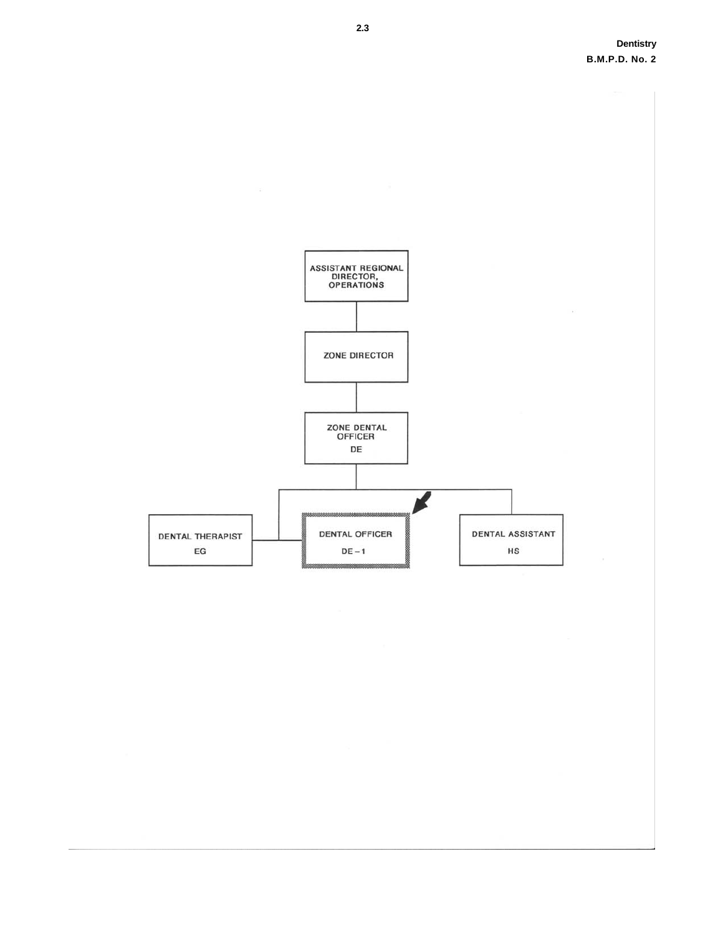**Dentistry B.M.P.D. No. 2** 

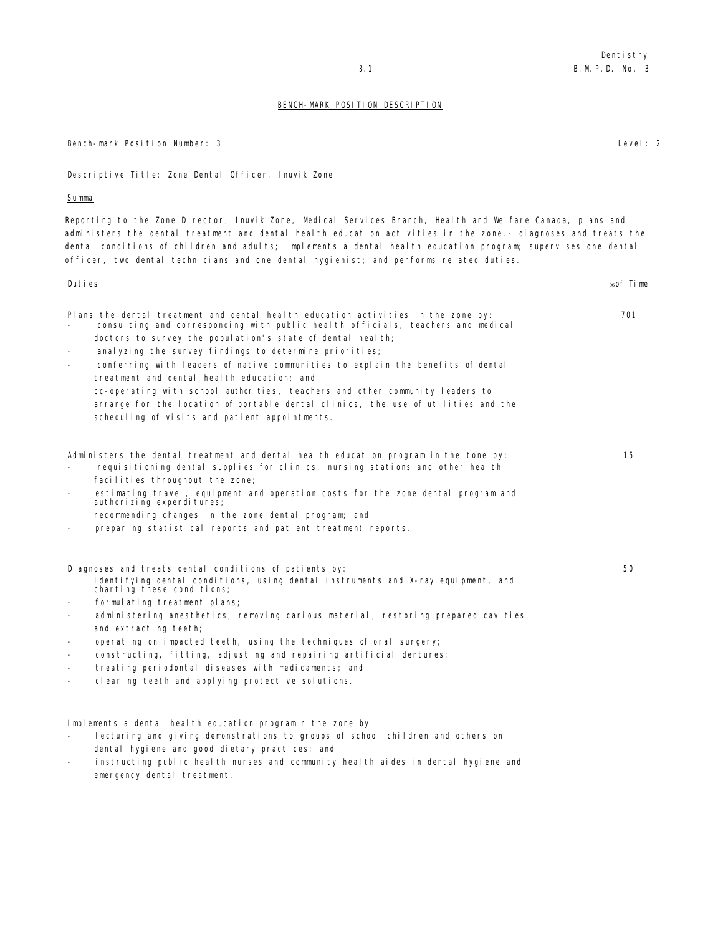### BENCH-MARK POSITION DESCRIPTION

Bench-mark Position Number: 3 Level: 2

Descriptive Title: Zone Dental Officer, Inuvik Zone

### Summa

Reporting to the Zone Director, Inuvik Zone, Medical Services Branch, Health and Welfare Canada, plans and administers the dental treatment and dental health education activities in the zone.- diagnoses and treats the dental conditions of children and adults; implements a dental health education program; supervises one dental officer, two dental technicians and one dental hygienist; and performs related duties.

Duties which is a set of the set of the set of the set of the set of the set of the set of time set of time set of time Plans the dental treatment and dental health education activities in the zone by: 701 consulting and corresponding with public health officials, teachers and medical doctors to survey the population's state of dental health; anal yzing the survey findings to determine priorities; - conferring with leaders of native communities to explain the benefits of dental treatment and dental health education; and cc-operating with school authorities, teachers and other community leaders to arrange for the location of portable dental clinics, the use of utilities and the scheduling of visits and patient appointments. Administers the dental treatment and dental health education program in the tone by: 15 requisitioning dental supplies for clinics, nursing stations and other health facilities throughout the zone; - estimating travel, equipment and operation costs for the zone dental program and authorizing expenditures; recommending changes in the zone dental program; and preparing statistical reports and patient treatment reports. Diagnoses and treats dental conditions of patients by: 50 and 50 and 50 and 50 and 50 and 50 and 50 and 50 and 50 and 50 and 50 and 50 and 50 and 50 and 50 and 50 and 50 and 50 and 50 and 50 and 50 and 50 and 50 and 50 and identifying dental conditions, using dental instruments and X-ray equipment, and charting these conditions; formulating treatment plans; administering anesthetics, removing carious material, restoring prepared cavities and extracting teeth; operating on impacted teeth, using the techniques of oral surgery; - constructing, fitting, adjusting and repairing artificial dentures; treating periodontal diseases with medicaments; and clearing teeth and applying protective solutions. Implements a dental health education program r the zone by:

- lecturing and giving demonstrations to groups of school children and others on dental hygiene and good dietary practices; and
- instructing public health nurses and community health aides in dental hygiene and emergency dental treatment.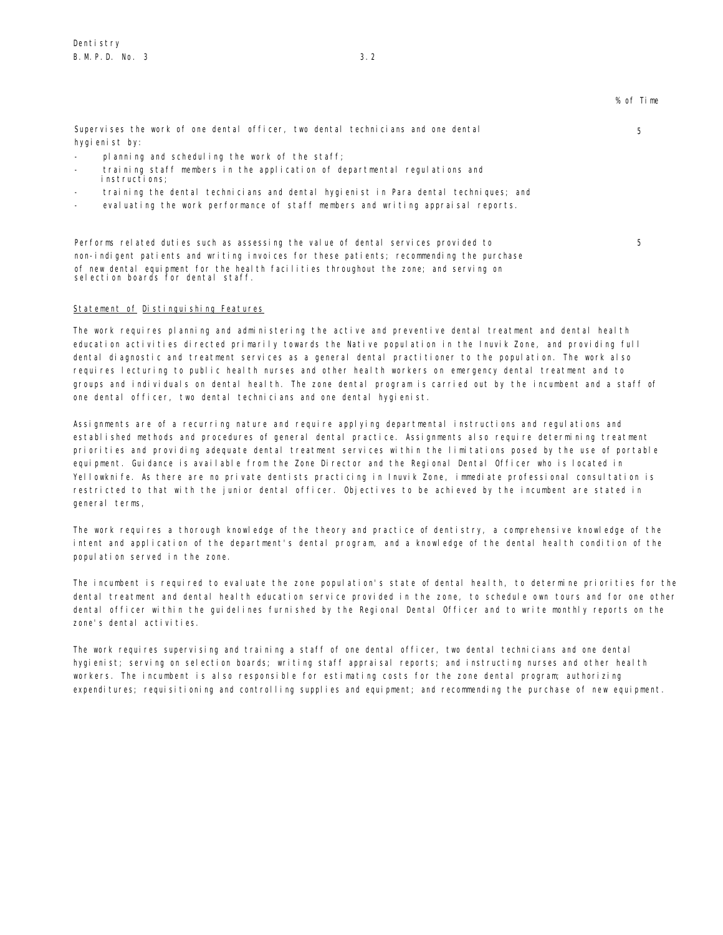5

5

Supervises the work of one dental officer, two dental technicians and one dental hygienist by:

- planning and scheduling the work of the staff;
- training staff members in the application of departmental regulations and instructions;
- training the dental technicians and dental hygienist in Para dental techniques; and
- evaluating the work performance of staff members and writing appraisal reports.

Performs related duties such as assessing the value of dental services provided to non-indigent patients and writing invoices for these patients; recommending the purchase of new dental equipment for the health facilities throughout the zone; and serving on selection boards for dental staff.

# Statement of Distinguishing Features

The work requires planning and administering the active and preventive dental treatment and dental health education activities directed primarily towards the Native population in the Inuvik Zone, and providing full dental diagnostic and treatment services as a general dental practitioner to the population. The work also requires lecturing to public health nurses and other health workers on emergency dental treatment and to groups and individuals on dental health. The zone dental program is carried out by the incumbent and a staff of one dental officer, two dental technicians and one dental hygienist.

Assignments are of a recurring nature and require applying departmental instructions and regulations and established methods and procedures of general dental practice. Assignments also require determining treatment priorities and providing adequate dental treatment services within the limitations posed by the use of portable equipment. Guidance is available from the Zone Director and the Regional Dental Officer who is located in Yellowknife. As there are no private dentists practicing in Inuvik Zone, immediate professional consultation is restricted to that with the junior dental officer. Objectives to be achieved by the incumbent are stated in general terms,

The work requires a thorough knowledge of the theory and practice of dentistry, a comprehensive knowledge of the intent and application of the department's dental program, and a knowledge of the dental health condition of the population served in the zone.

The incumbent is required to evaluate the zone population's state of dental health, to determine priorities for the dental treatment and dental health education service provided in the zone, to schedule own tours and for one other dental officer within the guidelines furnished by the Regional Dental Officer and to write monthly reports on the zone's dental activities.

The work requires supervising and training a staff of one dental officer, two dental technicians and one dental hygienist; serving on selection boards; writing staff appraisal reports; and instructing nurses and other health workers. The incumbent is also responsible for estimating costs for the zone dental program; authorizing expenditures; requisitioning and controlling supplies and equipment; and recommending the purchase of new equipment.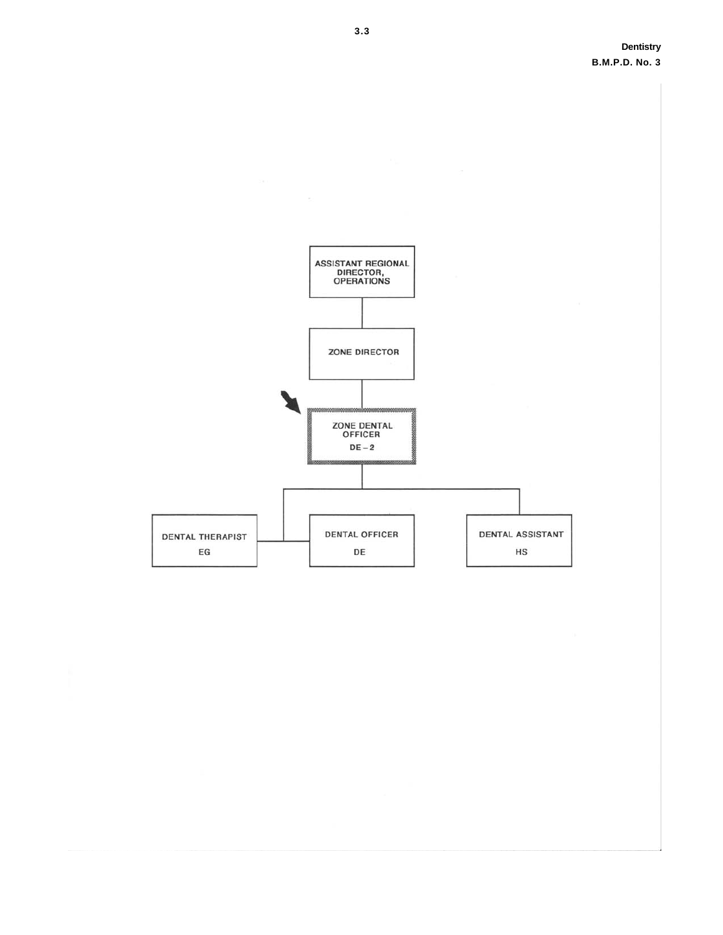

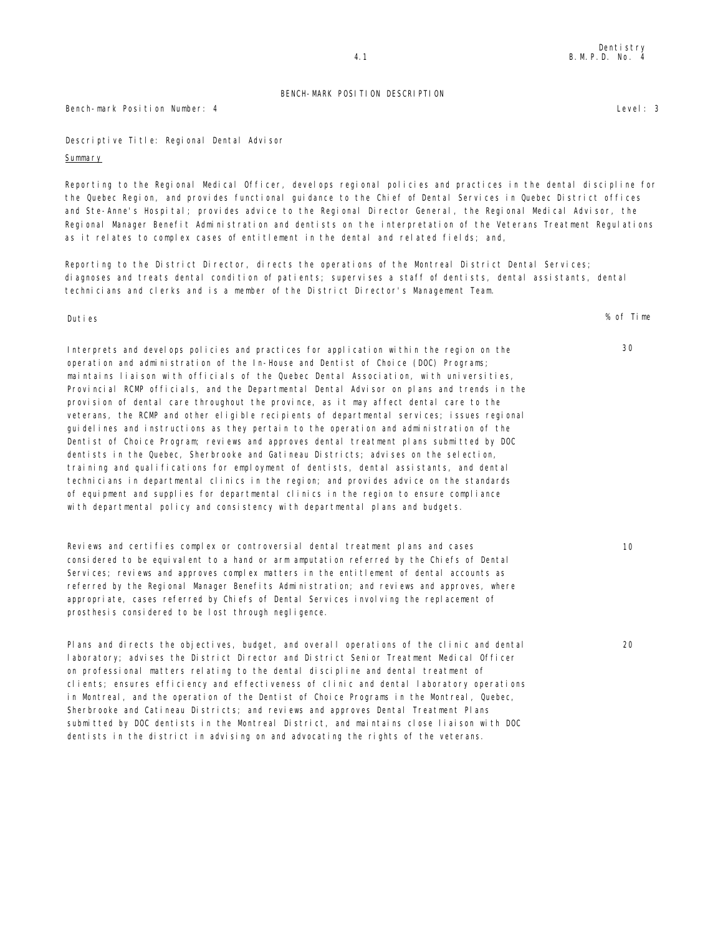Bench-mark Position Number: 4 Level: 3

Descriptive Title: Regional Dental Advisor

### Summary

Reporting to the Regional Medical Officer, develops regional policies and practices in the dental discipline for the Quebec Region, and provides functional guidance to the Chief of Dental Services in Quebec District offices and Ste-Anne's Hospital; provides advice to the Regional Director General, the Regional Medical Advisor, the Regional Manager Benefit Administration and dentists on the interpretation of the Veterans Treatment Regulations as it relates to complex cases of entitlement in the dental and related fields; and,

Reporting to the District Director, directs the operations of the Montreal District Dental Services; diagnoses and treats dental condition of patients; supervises a staff of dentists, dental assistants, dental technicians and clerks and is a member of the District Director's Management Team.

Interprets and develops policies and practices for application within the region on the operation and administration of the In-House and Dentist of Choice (DOC) Programs; maintains liaison with officials of the Quebec Dental Association, with universities, Provincial RCMP officials, and the Departmental Dental Advisor on plans and trends in the provision of dental care throughout the province, as it may affect dental care to the veterans, the RCMP and other eligible recipients of departmental services; issues regional guidelines and instructions as they pertain to the operation and administration of the Dentist of Choice Program; reviews and approves dental treatment plans submitted by DOC dentists in the Quebec, Sherbrooke and Gatineau Districts; advises on the selection, training and qualifications for employment of dentists, dental assistants, and dental technicians in departmental clinics in the region; and provides advice on the standards of equipment and supplies for departmental clinics in the region to ensure compliance with departmental policy and consistency with departmental plans and budgets.

Reviews and certifies complex or controversial dental treatment plans and cases considered to be equivalent to a hand or arm amputation referred by the Chiefs of Dental Services; reviews and approves complex matters in the entitlement of dental accounts as referred by the Regional Manager Benefits Administration; and reviews and approves, where appropriate, cases referred by Chiefs of Dental Services involving the replacement of prosthesis considered to be lost through negligence.

Plans and directs the objectives, budget, and overall operations of the clinic and dental laboratory; advises the District Director and District Senior Treatment Medical Officer on professional matters relating to the dental discipline and dental treatment of clients; ensures efficiency and effectiveness of clinic and dental laboratory operations in Montreal, and the operation of the Dentist of Choice Programs in the Montreal, Quebec, Sherbrooke and Catineau Districts; and reviews and approves Dental Treatment Plans submitted by DOC dentists in the Montreal District, and maintains close liaison with DOC dentists in the district in advising on and advocating the rights of the veterans.

Duties % of Time

20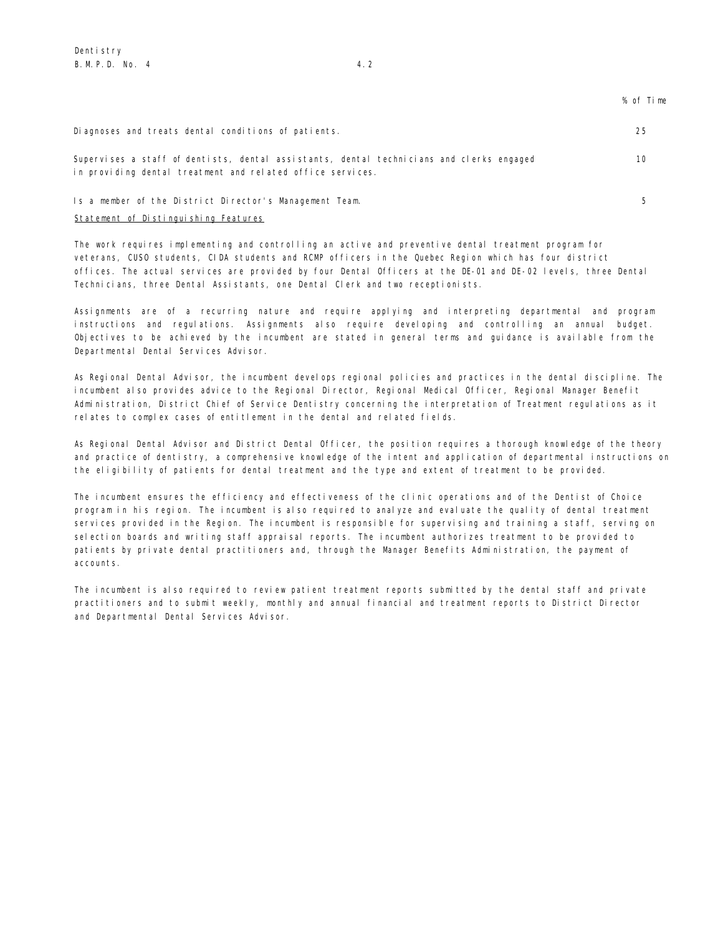| Diagnoses and treats dental conditions of patients.                                                                                                    | 25 |
|--------------------------------------------------------------------------------------------------------------------------------------------------------|----|
| Supervises a staff of dentists, dental assistants, dental technicians and clerks engaged<br>in providing dental treatment and related office services. | 10 |
| Is a member of the District Director's Management Team.                                                                                                |    |

## Statement of Distinguishing Features

The work requires implementing and controlling an active and preventive dental treatment program for veterans, CUSO students, CIDA students and RCMP officers in the Quebec Region which has four district offices. The actual services are provided by four Dental Officers at the DE-01 and DE-02 levels, three Dental Technicians, three Dental Assistants, one Dental Clerk and two receptionists.

Assignments are of a recurring nature and require applying and interpreting departmental and program instructions and regulations. Assignments also require developing and controlling an annual budget. Objectives to be achieved by the incumbent are stated in general terms and guidance is available from the Departmental Dental Services Advisor.

As Regional Dental Advisor, the incumbent develops regional policies and practices in the dental discipline. The incumbent also provides advice to the Regional Director, Regional Medical Officer, Regional Manager Benefit Administration, District Chief of Service Dentistry concerning the interpretation of Treatment regulations as it relates to complex cases of entitlement in the dental and related fields.

As Regional Dental Advisor and District Dental Officer, the position requires a thorough knowledge of the theory and practice of dentistry, a comprehensive knowledge of the intent and application of departmental instructions on the eligibility of patients for dental treatment and the type and extent of treatment to be provided.

The incumbent ensures the efficiency and effectiveness of the clinic operations and of the Dentist of Choice program in his region. The incumbent is also required to analyze and evaluate the quality of dental treatment services provided in the Region. The incumbent is responsible for supervising and training a staff, serving on selection boards and writing staff appraisal reports. The incumbent authorizes treatment to be provided to patients by private dental practitioners and, through the Manager Benefits Administration, the payment of accounts.

The incumbent is also required to review patient treatment reports submitted by the dental staff and private practitioners and to submit weekly, monthly and annual financial and treatment reports to District Director and Departmental Dental Services Advisor.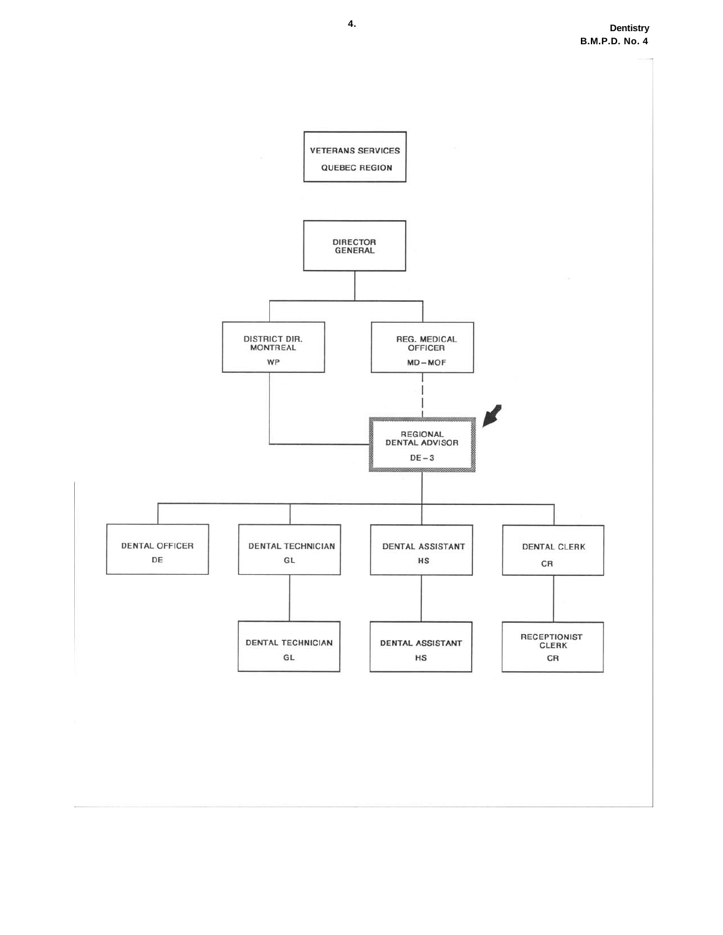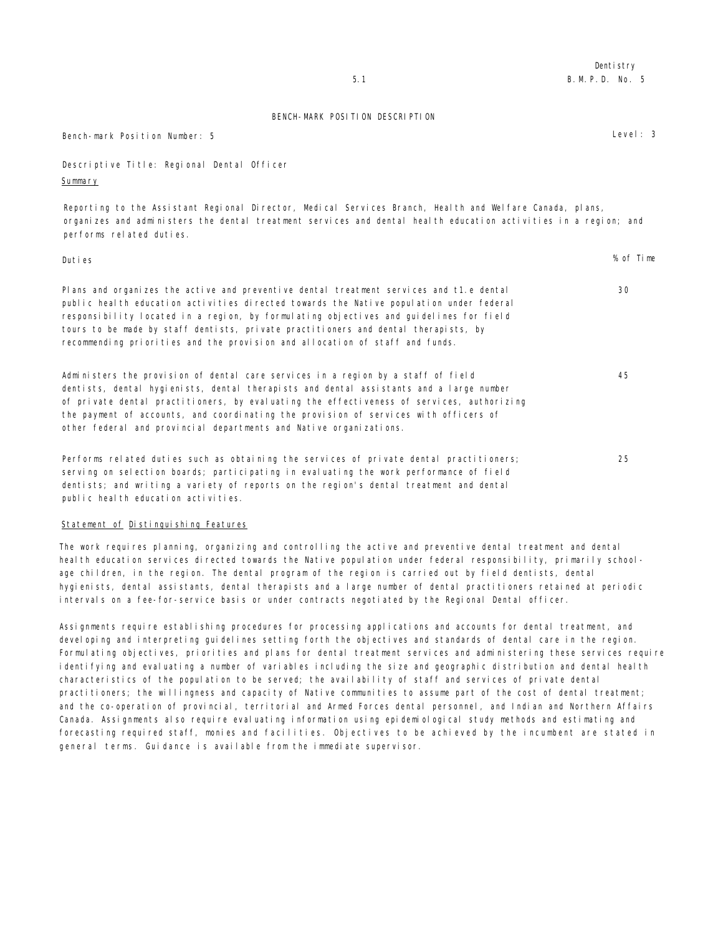| BENCH-MARK POSITION DESCRIPTION            |            |
|--------------------------------------------|------------|
| Bench-mark Position Number: 5              | Level: $3$ |
| Descriptive Title: Regional Dental Officer |            |

Dentistry

Descriptive Title: Regional Den Summary

Reporting to the Assistant Regional Director, Medical Services Branch, Health and Welfare Canada, plans, organizes and administers the dental treatment services and dental health education activities in a region; and performs related duties.

| Duties                                                                                                                                                                                                                                                                                                                                                                                                                                              | % of Time |
|-----------------------------------------------------------------------------------------------------------------------------------------------------------------------------------------------------------------------------------------------------------------------------------------------------------------------------------------------------------------------------------------------------------------------------------------------------|-----------|
| Plans and organizes the active and preventive dental treatment services and t1.e dental<br>public health education activities directed towards the Native population under federal<br>responsibility located in a region, by formulating objectives and guidelines for field<br>tours to be made by staff dentists, private practitioners and dental therapists, by<br>recommending priorities and the provision and allocation of staff and funds. | 30        |
| Administers the provision of dental care services in a region by a staff of field<br>dentists, dental hygienists, dental therapists and dental assistants and a large number<br>of private dental practitioners, by evaluating the effectiveness of services, authorizing<br>the payment of accounts, and coordinating the provision of services with officers of<br>other federal and provincial departments and Native organizations.             | 45        |
| Performs related duties such as obtaining the services of private dental practitioners;<br>serving on selection boards; participating in evaluating the work performance of field<br>dentists; and writing a variety of reports on the region's dental treatment and dental<br>public heal th education activities.                                                                                                                                 | 25        |

# Statement of Distinguishing Features

The work requires planning, organizing and controlling the active and preventive dental treatment and dental health education services directed towards the Native population under federal responsibility, primarily schoolage children, in the region. The dental program of the region is carried out by field dentists, dental hygienists, dental assistants, dental therapists and a large number of dental practitioners retained at periodic intervals on a fee-for-service basis or under contracts negotiated by the Regional Dental officer.

Assignments require establishing procedures for processing applications and accounts for dental treatment, and developing and interpreting guidelines setting forth the objectives and standards of dental care in the region. Formulating objectives, priorities and plans for dental treatment services and administering these services require identifying and evaluating a number of variables including the size and geographic distribution and dental health characteristics of the population to be served; the availability of staff and services of private dental practitioners; the willingness and capacity of Native communities to assume part of the cost of dental treatment; and the co-operation of provincial, territorial and Armed Forces dental personnel, and Indian and Northern Affairs Canada. Assignments also require evaluating information using epidemiological study methods and estimating and forecasting required staff, monies and facilities. Objectives to be achieved by the incumbent are stated in general terms. Guidance is available from the immediate supervisor.

5.1 B.M.P.D. No. 5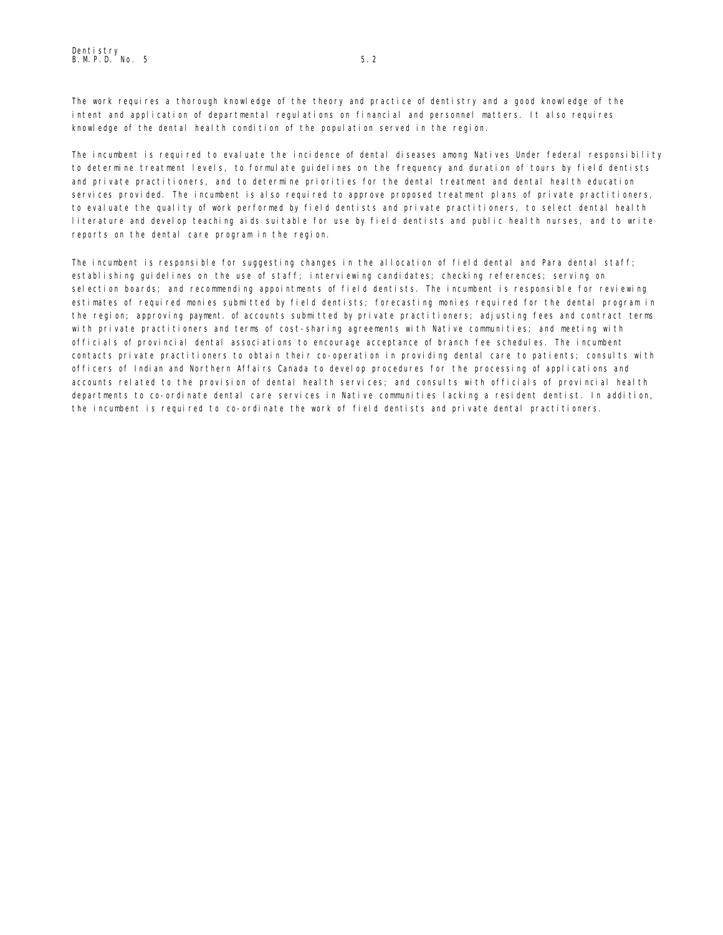The work requires a thorough knowledge of the theory and practice of dentistry and a good knowledge of the intent and application of departmental regulations on financial and personnel matters. It also requires knowledge of the dental health condition of the population served in the region.

The incumbent is required to evaluate the incidence of dental diseases among Natives Under federal responsibility to determine treatment levels, to formulate guidelines on the frequency and duration of tours by field dentists and private practitioners, and to determine priorities for the dental treatment and dental health education services provided. The incumbent is also required to approve proposed treatment plans of private practitioners, to evaluate the quality of work performed by field dentists and private practitioners, to select dental health literature and develop teaching aids suitable for use by field dentists and public health nurses, and to write reports on the dental care program in the region.

The incumbent is responsible for suggesting changes in the allocation of field dental and Para dental staff; establishing guidelines on the use of staff; interviewing candidates; checking references; serving on selection boards; and recommending appointments of field dentists. The incumbent is responsible for reviewing estimates of required monies submitted by field dentists; forecasting monies required for the dental program in the region; approving payment. of accounts submitted by private practitioners; adjusting fees and contract terms with private practitioners and terms of cost-sharing agreements with Native communities; and meeting with officials of provincial dental associations to encourage acceptance of branch fee schedules. The incumbent contacts private practitioners to obtain their co-operation in providing dental care to patients; consults with officers of Indian and Northern Affairs Canada to develop procedures for the processing of applications and accounts related to the provision of dental health services; and consults with officials of provincial health departments to co-ordinate dental care services in Native communities lacking a resident dentist. In addition, the incumbent is required to co-ordinate the work of field dentists and private dental practitioners.